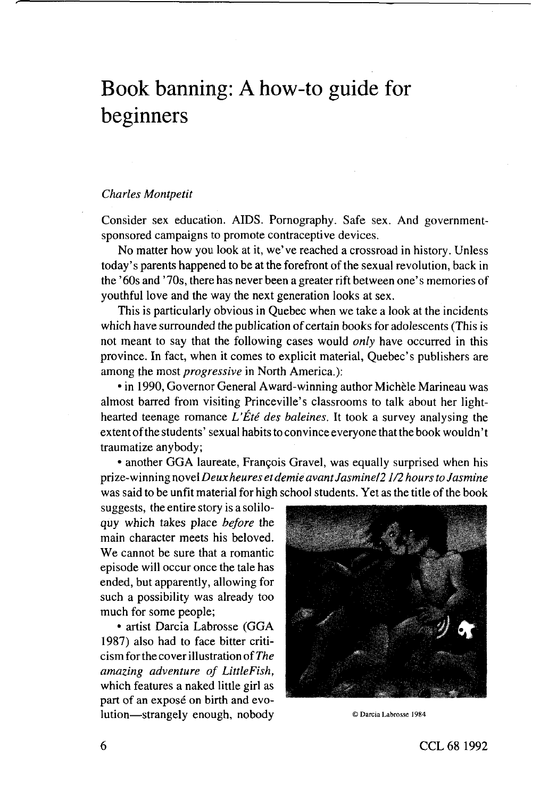# Book banning: A how-to guide for beginners

## *Charles Montpetit*

Consider sex education. AIDS. Pornography. Safe sex. And governmentsponsored campaigns to promote contraceptive devices.

No matter how you look at it, we've reached a crossroad in history. Unless today's parents happened to be at the forefront of the sexual revolution, back in the' 60s and' 70s, there has never been a greater rift between one's memories of youthful love and the way the next generation looks at sex.

This is particularly obvious in Quebec when we take a look at the incidents which have surrounded the publication of certain books for adolescents (This is not meant to say that the following cases would *only* have occurred in this province. In fact, when it comes to explicit material, Quebec's publishers are among the most *progressive* in North America.):

• in 1990, Governor General Award-winning author Michele Marineau was almost barred from visiting Princeville's classrooms to talk about her lighthearted teenage romance *L'Ete des baleines.* It took a survey analysing the extent of the students' sexual habits to convince everyone that the book wouldn't traumatize anybody;

• another GGA laureate, François Gravel, was equally surprised when his prize-winning novel *Deux heures etdemie avant Jasmine/2 1/2 hours to Jasmine* was said to be unfit material for high school students. Yet as the title of the book

suggests, the entire story is a soliloquy which takes place *before* the main character meets his beloved. We cannot be sure that a romantic episode will occur once the tale has ended, but apparently, allowing for such a possibility was already too much for some people;

• artist Darcia Labrosse (GGA 1987) also had to face bitter criticism for the cover illustration *of The amazing adventure of LittleFish,* which features a naked little girl as part of an exposé on birth and evolution—strangely enough, nobody ® Darcia Labrosse 1984

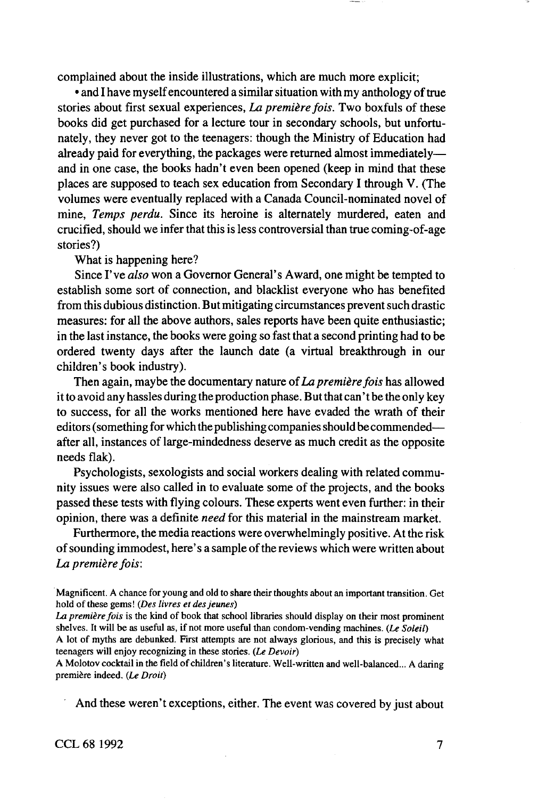complained about the inside illustrations, which are much more explicit;

• and I have myself encountered a similar situation with my anthology of true stories about first sexual experiences, *La premiere fois.* Two boxfuls of these books did get purchased for a lecture tour in secondary schools, but unfortunately, they never got to the teenagers: though the Ministry of Education had already paid for everything, the packages were returned almost immediately and in one case, the books hadn't even been opened (keep in mind that these places are supposed to teach sex education from Secondary I through V. (The volumes were eventually replaced with a Canada Council-nominated novel of mine. *Temps perdu.* Since its heroine is alternately murdered, eaten and crucified, should we infer that this is less controversial than true coming-of-age stories?)

What is happening here?

Since I've *also* won a Governor General's Award, one might be tempted to establish some sort of connection, and blacklist everyone who has benefited from this dubious distinction. But mitigating circumstances prevent such drastic measures: for all the above authors, sales reports have been quite enthusiastic; in the last instance, the books were going so fast that a second printing had to be ordered twenty days after the launch date (a virtual breakthrough in our children's book industry).

Then again, maybe the documentary nature of*La premiere fois* has allowed it to avoid any hassles during the production phase. But that can't be the only key to success, for all the works mentioned here have evaded the wrath of their editors (something for which the publishing companies should be commended after all, instances of large-mindedness deserve as much credit as the opposite needs flak).

Psychologists, sexologists and social workers dealing with related community issues were also called in to evaluate some of the projects, and the books passed these tests with flying colours. These experts went even further: in their opinion, there was a definite *need* for this material in the mainstream market.

Furthermore, the media reactions were overwhelmingly positive. At the risk of sounding immodest, here's a sample of the reviews which were written about *La premiere fois:*

Magnificent. A chance for young and old to share their thoughts about an important transition. Get hold of these gems' *(Des livres etdes]eunes)*

La première fois is the kind of book that school libraries should display on their most prominent shelves It will be as useful as, if not more useful than condom-vending machines *(Le Soleil)*

A lot of myths are debunked. First attempts are not always glorious, and this is precisely what teenagers will enjoy recognizing in these stones *(Le Devoir)*

A Molotov cocktail in the field of children's literature. Well-written and well-balanced... A daring première indeed. (Le Droit)

And these weren't exceptions, either. The event was covered by just about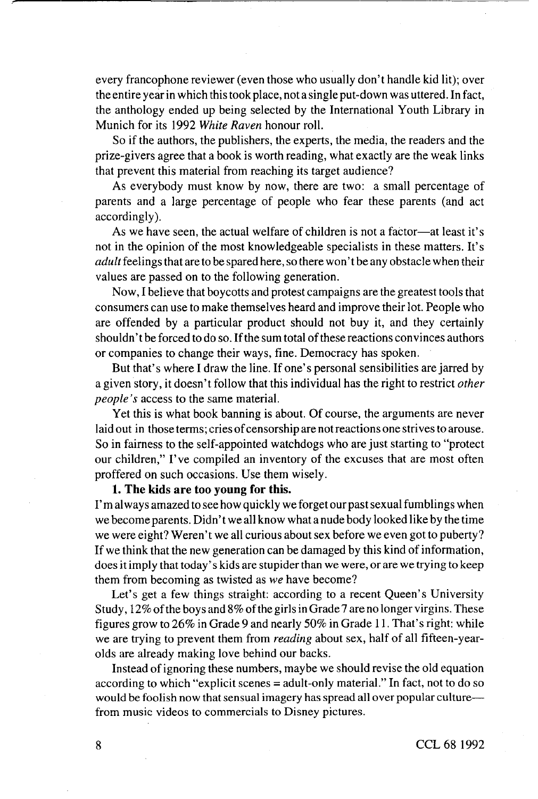every francophone reviewer (even those who usually don't handle kid lit); over the entire year in which this took place, not a single put-down was uttered. In fact, the anthology ended up being selected by the International Youth Library in Munich for its 1992 *White Raven* honour roll.

So if the authors, the publishers, the experts, the media, the readers and the prize-givers agree that a book is worth reading, what exactly are the weak links that prevent this material from reaching its target audience?

As everybody must know by now, there are two: a small percentage of parents and a large percentage of people who fear these parents (and act accordingly).

As we have seen, the actual welfare of children is not a factor—at least it's not in the opinion of the most knowledgeable specialists in these matters. It's *adult* feelings that are to be spared here, so there won'tbe any obstacle when their values are passed on to the following generation.

Now, I believe that boycotts and protest campaigns are the greatest tools that consumers can use to make themselves heard and improve their lot. People who are offended by a particular product should not buy it, and they certainly shouldn't be forced to do so. If the sum total of these reactions convinces authors or companies to change their ways, fine. Democracy has spoken.

But that's where I draw the line. If one's personal sensibilities are jarred by a given story, it doesn't follow that this individual has the right to restrict *other people's* access to the same material.

Yet this is what book banning is about. Of course, the arguments are never laid out in those terms; cries of censorship are not reactions one strives to arouse. So in fairness to the self-appointed watchdogs who are just starting to "protect our children," I've compiled an inventory of the excuses that are most often proffered on such occasions. Use them wisely.

**1. The kids are too young for this.**

I'm always amazed to see how quickly we forget our past sexual fumblings when we become parents. Didn't we all know what a nude body looked like by the time we were eight? Weren't we all curious about sex before we even got to puberty? If we think that the new generation can be damaged by this kind of information, does it imply that today" s kids are stupider than we were, or are we trying to keep them from becoming as twisted as *we* have become?

Let's get a few things straight: according to a recent Queen's University Study, 12% of the boys and 8% of the girls in Grade 7 are no longer virgins. These figures grow to 26% in Grade 9 and nearly 50% in Grade 11. That's right: while we are trying to prevent them from *reading* about sex, half of all fifteen-yearolds are already making love behind our backs.

Instead of ignoring these numbers, maybe we should revise the old equation according to which "explicit scenes = adult-only material." In fact, not to do so would be foolish now that sensual imagery has spread all over popular culture from music videos to commercials to Disney pictures.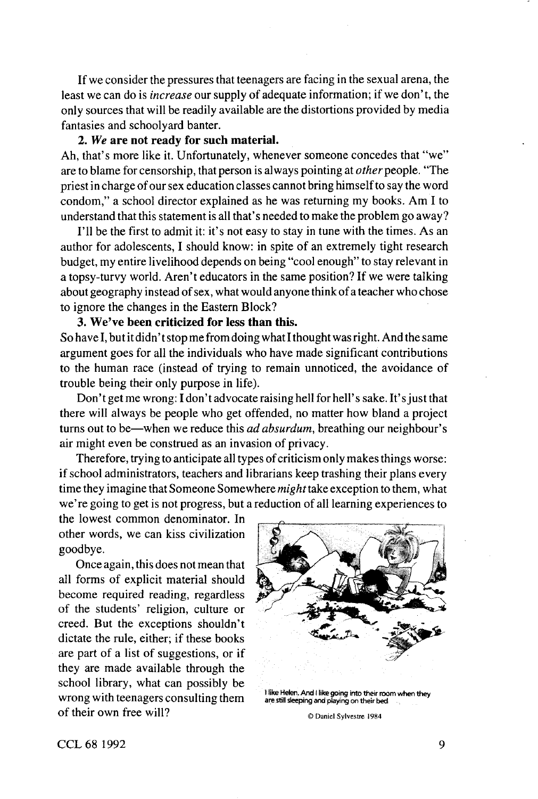If we consider the pressures that teenagers are facing in the sexual arena, the least we can do is *increase* our supply of adequate information; if we don't, the only sources that will be readily available are the distortions provided by media fantasies and schoolyard banter.

# **2.** *We* **are not ready for such material.**

Ah, that's more like it. Unfortunately, whenever someone concedes that "we" are to blame for censorship, that person is always pointing at *other* people. "The priest in charge of our sex education classes cannot bring himself to say the word condom," a school director explained as he was returning my books. Am I to understand that this statement is all that's needed to make the problem go away?

I'll be the first to admit it: it's not easy to stay in tune with the times. As an author for adolescents, I should know: in spite of an extremely tight research budget, my entire livelihood depends on being "cool enough" to stay relevant in a topsy-turvy world. Aren't educators in the same position? If we were talking about geography instead of sex, what would anyone think of a teacher who chose to ignore the changes in the Eastern Block?

# **3. We've been criticized for less than this.**

So have I, but it didn' t stop me from doing what I thought was right. And the same argument goes for all the individuals who have made significant contributions to the human race (instead of trying to remain unnoticed, the avoidance of trouble being their only purpose in life).

Don't get me wrong: I don't advocate raising hell for hell's sake. It's just that there will always be people who get offended, no matter how bland a project turns out to be—when we reduce this *ad absurdum*, breathing our neighbour's air might even be construed as an invasion of privacy.

Therefore, trying to anticipate all types of criticism only makes things worse: if school administrators, teachers and librarians keep trashing their plans every time they imagine that Someone Somewhere *might take* exception to them, what we' re going to get is not progress, but a reduction of all learning experiences to

the lowest common denominator. In other words, we can kiss civilization goodbye.

Once again, this does not mean that all forms of explicit material should become required reading, regardless of the students' religion, culture or creed. But the exceptions shouldn't dictate the rule, either; if these books are part of a list of suggestions, or if they are made available through the school library, what can possibly be wrong with teenagers consulting them<br>
<sup>1</sup> like Helen. And I like going into their toom when they<br>
are still sleeping and playing on their bed **of** their own free will? <br> **o** Daniel Sylvestre 1984



CCL68 1992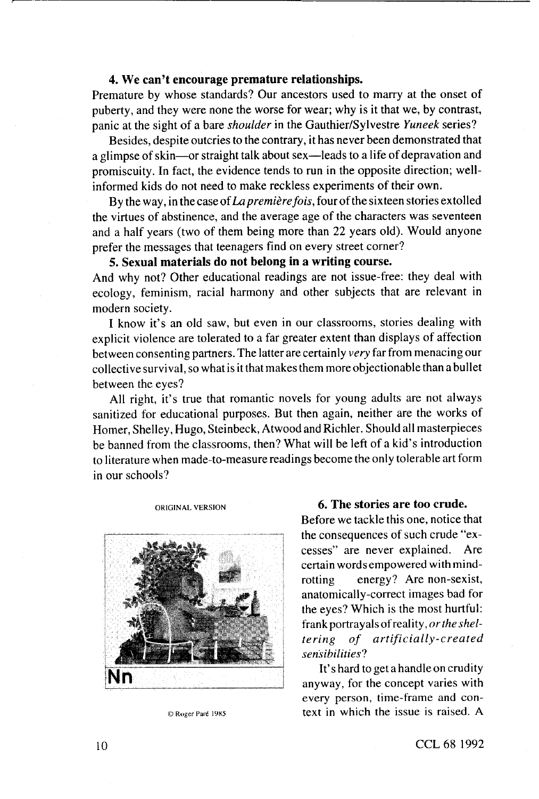# **4. We can't encourage premature relationships.**

Premature by whose standards? Our ancestors used to marry at the onset of puberty, and they were none the worse for wear; why is it that we, by contrast, panic at the sight of a bare *shoulder* in the Gauthier/Sylvestre *Yuneek* series?

Besides, despite outcries to the contrary, it has never been demonstrated that a glimpse of skin—or straight talk about sex—leads to a life of depravation and promiscuity. In fact, the evidence tends to run in the opposite direction; wellinformed kids do not need to make reckless experiments of their own.

By the way, in the case of *La première fois*, four of the sixteen stories extolled the virtues of abstinence, and the average age of the characters was seventeen and a half years (two of them being more than 22 years old). Would anyone prefer the messages that teenagers find on every street corner?

**5. Sexual materials do not belong in a writing course.**

And why not? Other educational readings are not issue-free: they deal with ecology, feminism, racial harmony and other subjects that are relevant in modern society.

I know it's an old saw, but even in our classrooms, stories dealing with explicit violence are tolerated to a far greater extent than displays of affection between consenting partners. The latter are certainly *very* far from menacing our collective survival, so what is it that makes them more objectionable than a bullet between the eyes?

All right, it's true that romantic novels for young adults are not always sanitized for educational purposes. But then again, neither are the works of Homer, Shelley, Hugo, Steinbeck, Atwood and Richler. Should all masterpieces be banned from the classrooms, then? What will be left of a kid's introduction to literature when made-to-measure readings become the only tolerable art form in our schools?

#### ORIGINAL VERSION



©RogerPait 19X5

#### **6. The stories are too crude.**

Before we tackle this one, notice that the consequences of such crude "excesses" are never explained. Are certain words empowered with mindrotting energy? Are non-sexist, anatomically-correct images bad for the eyes? Which is the most hurtful: frank portrayals of reality, *or thesheltering of artificially-created sensibilities^!*

It's hard to get a handle on crudity anyway, for the concept varies with every person, time-frame and context in which the issue is raised. A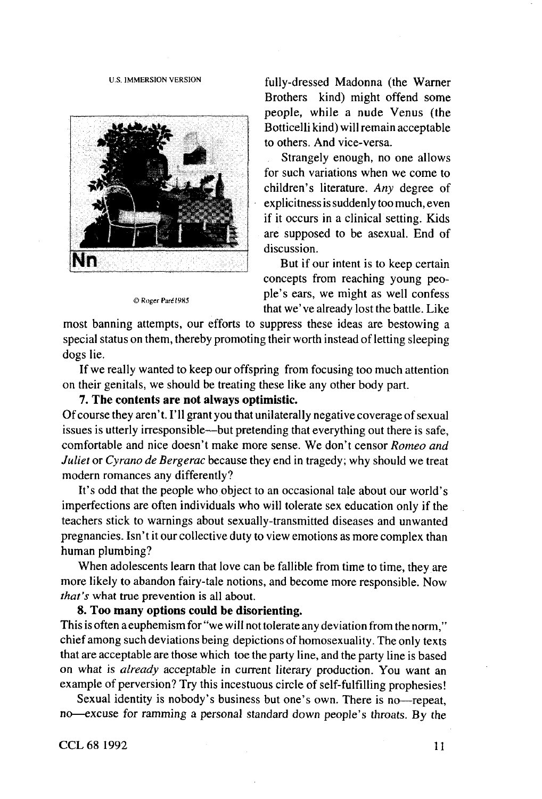

C Roger Paré 1985

us IMMERSION VERSION fully-dressed Madonna (the Warner Brothers kind) might offend some people, while a nude Venus (the Botticelli kind) will remain acceptable to others. And vice-versa.

> Strangely enough, no one allows for such variations when we come to children's literature. *Any* degree of explicitness is suddenly too much, even if it occurs in a clinical setting. Kids are supposed to be asexual. End of discussion.

> But if our intent is to keep certain concepts from reaching young people's ears, we might as well confess that we've already lost the battle. Like

most banning attempts, our efforts to suppress these ideas are bestowing a special status on them, thereby promoting their worth instead of letting sleeping dogs lie.

If we really wanted to keep our offspring from focusing too much attention on their genitals, we should be treating these like any other body part.

**7. The contents are not always optimistic.**

Of course they aren't. I'll grant you that unilaterally negative coverage of sexual issues is utterly irresponsible—but pretending that everything out there is safe, comfortable and nice doesn't make more sense. We don't censor *Romeo and Juliet* or *Cyrano de Bergerac* because they end in tragedy; why should we treat modern romances any differently?

It's odd that the people who object to an occasional tale about our world's imperfections are often individuals who will tolerate sex education only if the teachers stick to warnings about sexually-transmitted diseases and unwanted pregnancies. Isn't it our collective duty to view emotions as more complex than human plumbing?

When adolescents learn that love can be fallible from time to time, they are more likely to abandon fairy-tale notions, and become more responsible. Now *that's* what true prevention is all about.

# **8. Too many options could be disorienting.**

This is often a euphemism for "we will not tolerate any deviation from the norm," chief among such deviations being depictions of homosexuality. The only texts that are acceptable are those which toe the party line, and the party line is based on what is *already* acceptable in current literary production. You want an example of perversion? Try this incestuous circle of self-fulfilling prophesies!

Sexual identity is nobody's business but one's own. There is no—repeat, no—excuse for ramming a personal standard down people's throats. By the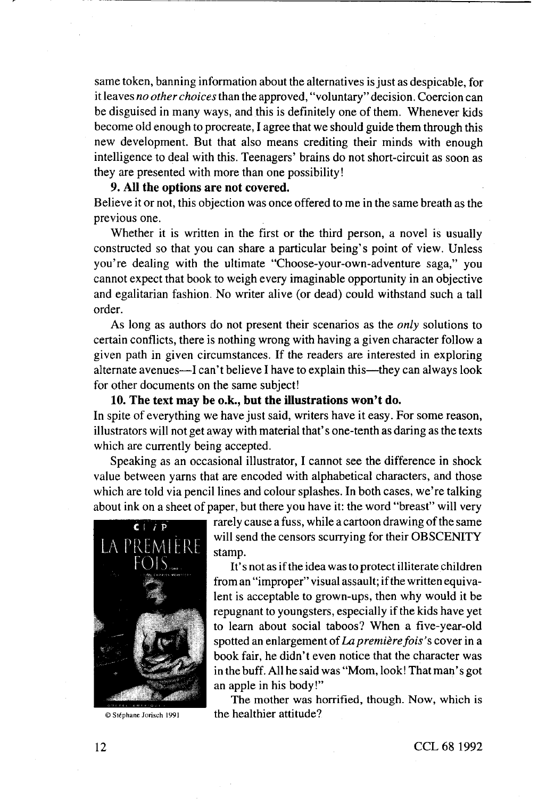same token, banning information about the alternatives is just as despicable, for it leaves *no other choices* than the approved, "voluntary" decision. Coercion can be disguised in many ways, and this is definitely one of them. Whenever kids become old enough to procreate, I agree that we should guide them through this new development. But that also means crediting their minds with enough intelligence to deal with this. Teenagers' brains do not short-circuit as soon as they are presented with more than one possibility!

# **9. All the options are not covered.**

Believe it or not, this objection was once offered to me in the same breath as the previous one.

Whether it is written in the first or the third person, a novel is usually constructed so that you can share a particular being's point of view. Unless you're dealing with the ultimate "Choose-your-own-adventure saga," you cannot expect that book to weigh every imaginable opportunity in an objective and egalitarian fashion. No writer alive (or dead) could withstand such a tall order.

As long as authors do not present their scenarios as the *only* solutions to certain conflicts, there is nothing wrong with having a given character follow a given path in given circumstances. If the readers are interested in exploring alternate avenues—I can't believe I have to explain this—they can always look for other documents on the same subject!

**10. The text may be o.k., but the illustrations won't do.** In spite of everything we have just said, writers have it easy. For some reason, illustrators will not get away with material that's one-tenth as daring as the texts which are currently being accepted.

Speaking as an occasional illustrator, I cannot see the difference in shock value between yarns that are encoded with alphabetical characters, and those which are told via pencil lines and colour splashes. In both cases, we're talking about ink on a sheet of paper, but there you have it: the word "breast" will very



rarely cause a fuss, while a cartoon drawing of the same will send the censors scurrying for their OBSCENITY stamp.

It's not as if the idea was to protect illiterate children from an "improper" visual assault; if the written equivalent is acceptable to grown-ups, then why would it be repugnant to youngsters, especially if the kids have yet to learn about social taboos? When a five-year-old spotted an enlargement of *La premiere fois 's* cover in a book fair, he didn't even notice that the character was in the buff. All he said was "Mom, look! That man's got an apple in his body!"

The mother was horrified, though. Now, which is © Stéphane Jorisch 1991 the healthier attitude?